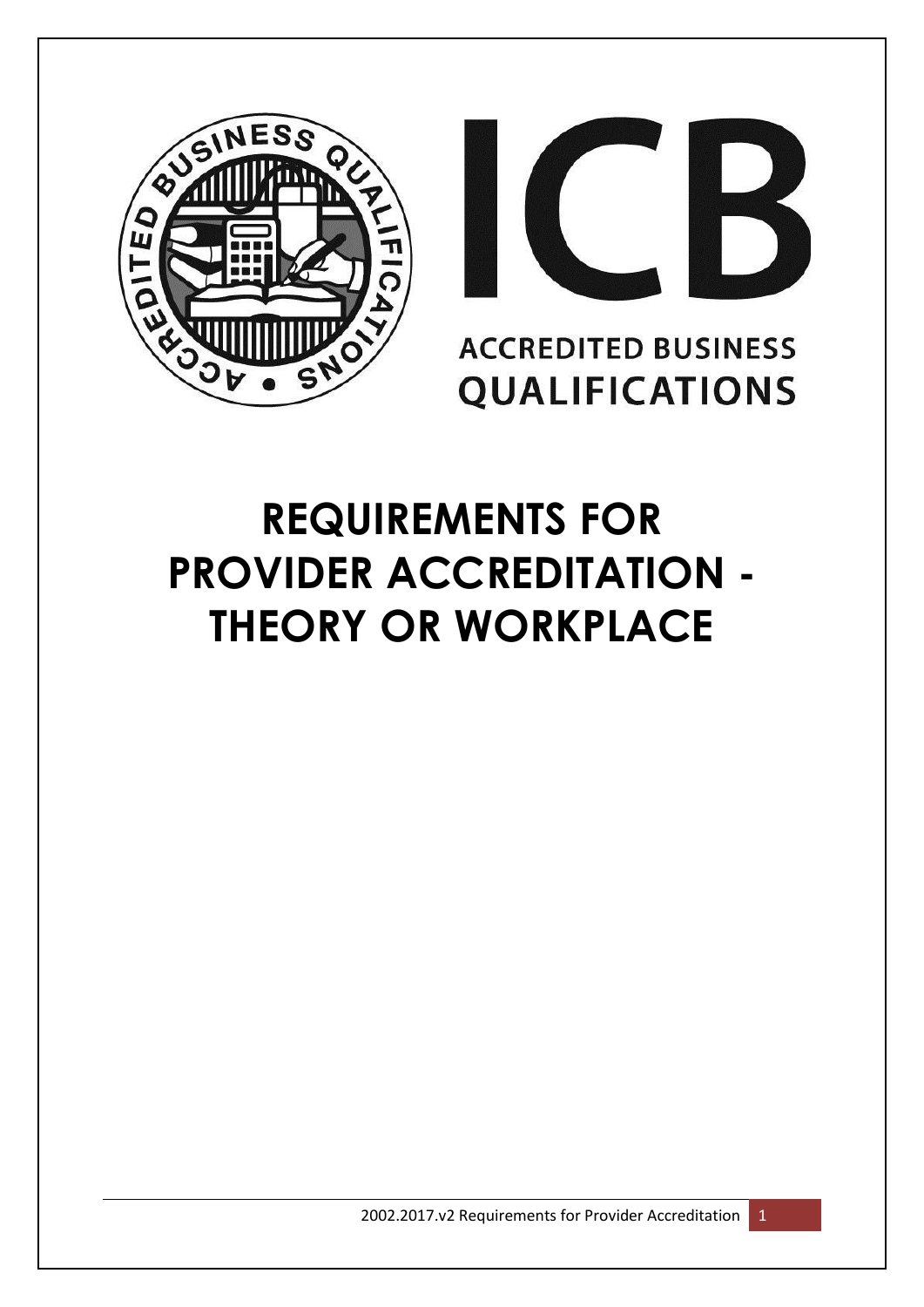



# **ACCREDITED BUSINESS QUALIFICATIONS**

# **REQUIREMENTS FOR PROVIDER ACCREDITATION - THEORY OR WORKPLACE**

2002.2017.v2 Requirements for Provider Accreditation 1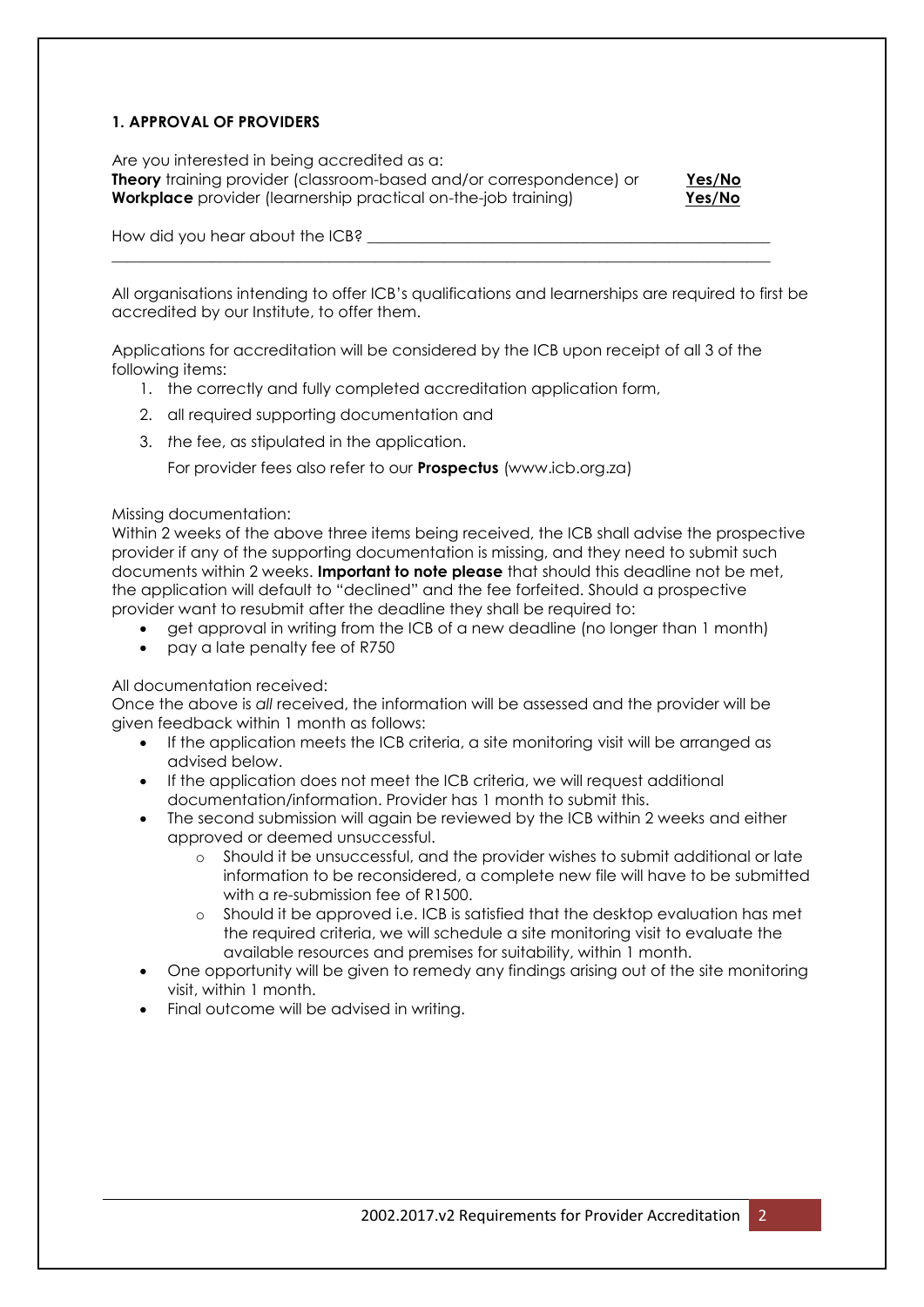#### **1. APPROVAL OF PROVIDERS**

Are you interested in being accredited as a: **Theory** training provider (classroom-based and/or correspondence) or **Yes/No Workplace** provider (learnership practical on-the-job training) **Yes/No** 



How did you hear about the ICB?

All organisations intending to offer ICB's qualifications and learnerships are required to first be accredited by our Institute, to offer them.

Applications for accreditation will be considered by the ICB upon receipt of all 3 of the following items:

\_\_\_\_\_\_\_\_\_\_\_\_\_\_\_\_\_\_\_\_\_\_\_\_\_\_\_\_\_\_\_\_\_\_\_\_\_\_\_\_\_\_\_\_\_\_\_\_\_\_\_\_\_\_\_\_\_\_\_\_\_\_\_\_\_\_\_\_\_\_\_\_\_\_\_\_\_\_\_\_\_\_\_\_\_

- 1. the correctly and fully completed accreditation application form,
- 2. all required supporting documentation and
- 3. *t*he fee, as stipulated in the application.

For provider fees also refer to our **Prospectus** (www.icb.org.za)

#### Missing documentation:

Within 2 weeks of the above three items being received, the ICB shall advise the prospective provider if any of the supporting documentation is missing, and they need to submit such documents within 2 weeks. **Important to note please** that should this deadline not be met, the application will default to "declined" and the fee forfeited. Should a prospective provider want to resubmit after the deadline they shall be required to:

- get approval in writing from the ICB of a new deadline (no longer than 1 month)
- pay a late penalty fee of R750

#### All documentation received:

Once the above is *all* received, the information will be assessed and the provider will be given feedback within 1 month as follows:

- If the application meets the ICB criteria, a site monitoring visit will be arranged as advised below.
- If the application does not meet the ICB criteria, we will request additional documentation/information. Provider has 1 month to submit this.
- The second submission will again be reviewed by the ICB within 2 weeks and either approved or deemed unsuccessful.
	- o Should it be unsuccessful, and the provider wishes to submit additional or late information to be reconsidered, a complete new file will have to be submitted with a re-submission fee of R1500.
	- o Should it be approved i.e. ICB is satisfied that the desktop evaluation has met the required criteria, we will schedule a site monitoring visit to evaluate the available resources and premises for suitability, within 1 month.
- One opportunity will be given to remedy any findings arising out of the site monitoring visit, within 1 month.
- Final outcome will be advised in writing.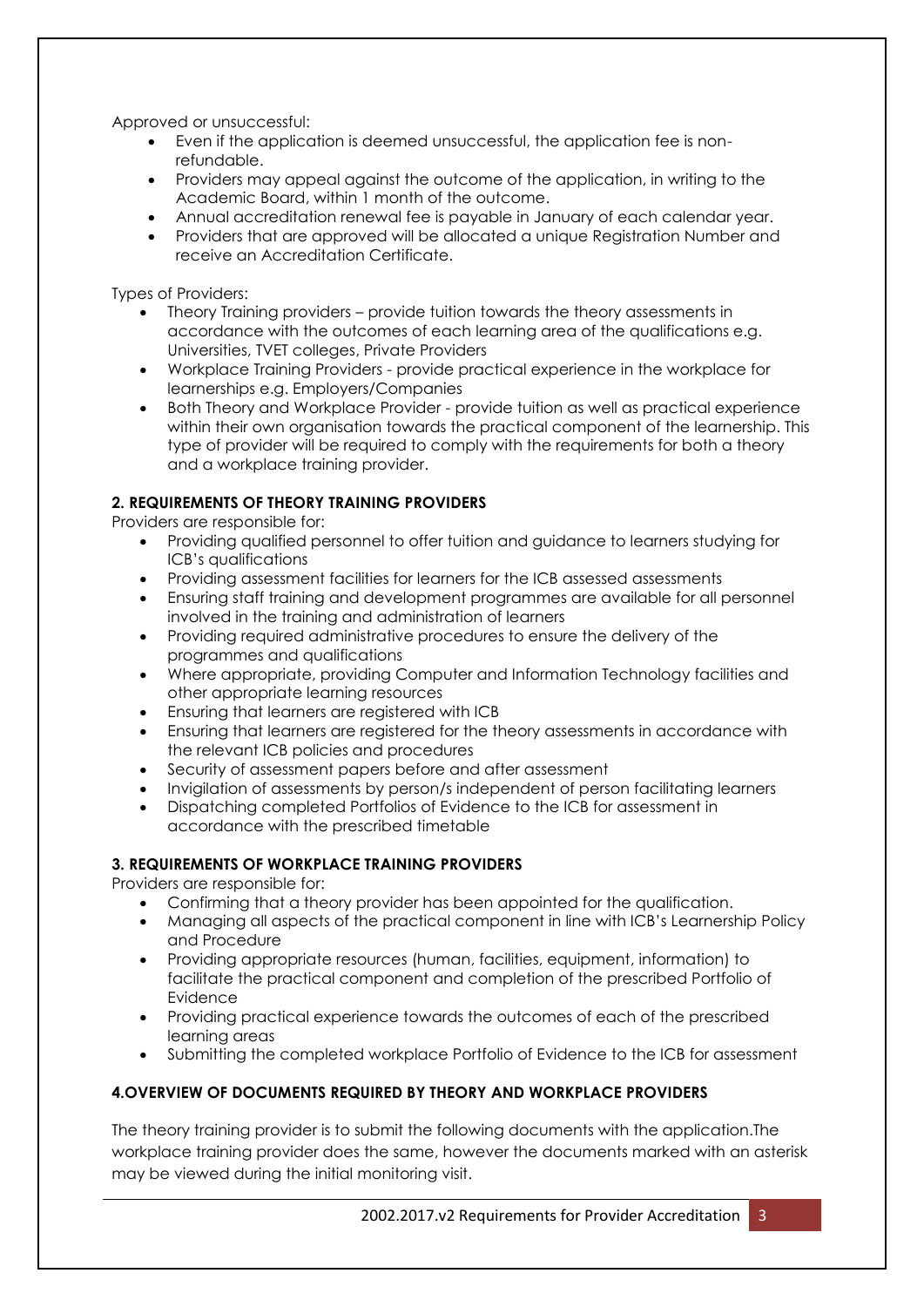Approved or unsuccessful:

- Even if the application is deemed unsuccessful, the application fee is nonrefundable.
- Providers may appeal against the outcome of the application, in writing to the Academic Board, within 1 month of the outcome.
- Annual accreditation renewal fee is payable in January of each calendar year.
- Providers that are approved will be allocated a unique Registration Number and receive an Accreditation Certificate.

Types of Providers:

- Theory Training providers provide tuition towards the theory assessments in accordance with the outcomes of each learning area of the qualifications e.g. Universities, TVET colleges, Private Providers
- Workplace Training Providers provide practical experience in the workplace for learnerships e.g. Employers/Companies
- Both Theory and Workplace Provider provide tuition as well as practical experience within their own organisation towards the practical component of the learnership. This type of provider will be required to comply with the requirements for both a theory and a workplace training provider.

### **2. REQUIREMENTS OF THEORY TRAINING PROVIDERS**

Providers are responsible for:

- Providing qualified personnel to offer tuition and guidance to learners studying for ICB's qualifications
- Providing assessment facilities for learners for the ICB assessed assessments
- Ensuring staff training and development programmes are available for all personnel involved in the training and administration of learners
- Providing required administrative procedures to ensure the delivery of the programmes and qualifications
- Where appropriate, providing Computer and Information Technology facilities and other appropriate learning resources
- Ensuring that learners are registered with ICB
- Ensuring that learners are registered for the theory assessments in accordance with the relevant ICB policies and procedures
- Security of assessment papers before and after assessment
- Invigilation of assessments by person/s independent of person facilitating learners
- Dispatching completed Portfolios of Evidence to the ICB for assessment in accordance with the prescribed timetable

#### **3. REQUIREMENTS OF WORKPLACE TRAINING PROVIDERS**

Providers are responsible for:

- Confirming that a theory provider has been appointed for the qualification.
- Managing all aspects of the practical component in line with ICB's Learnership Policy and Procedure
- Providing appropriate resources (human, facilities, equipment, information) to facilitate the practical component and completion of the prescribed Portfolio of Evidence
- Providing practical experience towards the outcomes of each of the prescribed learning areas
- Submitting the completed workplace Portfolio of Evidence to the ICB for assessment

#### **4.OVERVIEW OF DOCUMENTS REQUIRED BY THEORY AND WORKPLACE PROVIDERS**

The theory training provider is to submit the following documents with the application.The workplace training provider does the same, however the documents marked with an asterisk may be viewed during the initial monitoring visit.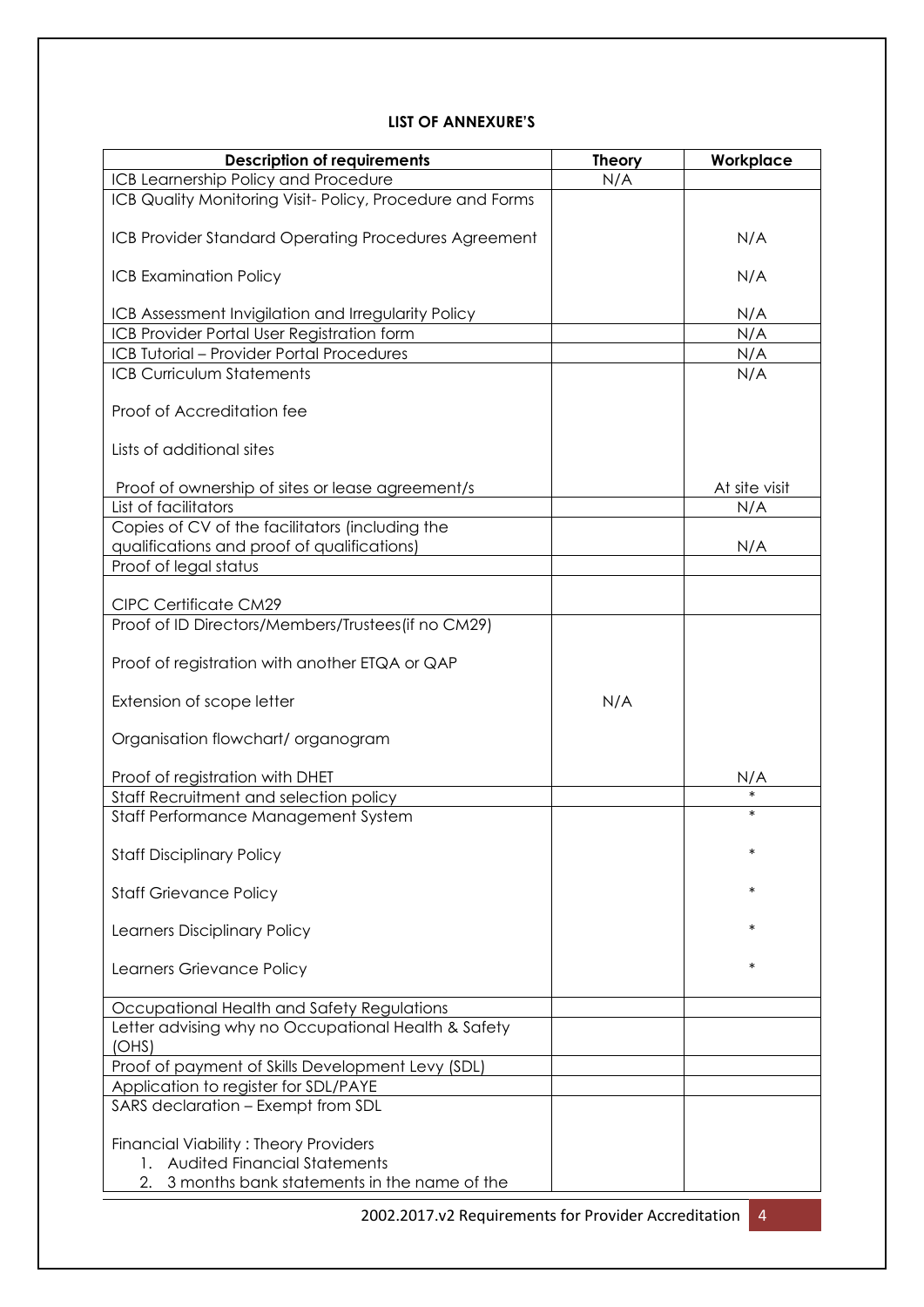#### **LIST OF ANNEXURE'S**

| <b>Description of requirements</b>                       | <b>Theory</b> | Workplace     |
|----------------------------------------------------------|---------------|---------------|
| ICB Learnership Policy and Procedure                     | N/A           |               |
| ICB Quality Monitoring Visit-Policy, Procedure and Forms |               |               |
| ICB Provider Standard Operating Procedures Agreement     |               | N/A           |
| <b>ICB Examination Policy</b>                            |               | N/A           |
| ICB Assessment Invigilation and Irregularity Policy      |               | N/A           |
| ICB Provider Portal User Registration form               |               | N/A           |
| ICB Tutorial - Provider Portal Procedures                |               | N/A           |
| <b>ICB Curriculum Statements</b>                         |               | N/A           |
|                                                          |               |               |
| Proof of Accreditation fee                               |               |               |
| Lists of additional sites                                |               |               |
| Proof of ownership of sites or lease agreement/s         |               | At site visit |
| List of facilitators                                     |               | N/A           |
| Copies of CV of the facilitators (including the          |               |               |
| qualifications and proof of qualifications)              |               | N/A           |
| Proof of legal status                                    |               |               |
|                                                          |               |               |
| <b>CIPC Certificate CM29</b>                             |               |               |
| Proof of ID Directors/Members/Trustees(if no CM29)       |               |               |
| Proof of registration with another ETQA or QAP           |               |               |
|                                                          |               |               |
| Extension of scope letter                                | N/A           |               |
|                                                          |               |               |
| Organisation flowchart/ organogram                       |               |               |
|                                                          |               |               |
| Proof of registration with DHET                          |               | N/A           |
| Staff Recruitment and selection policy                   |               | *             |
| Staff Performance Management System                      |               |               |
|                                                          |               | $\ast$        |
| <b>Staff Disciplinary Policy</b>                         |               |               |
| <b>Staff Grievance Policy</b>                            |               | $\ast$        |
|                                                          |               |               |
| Learners Disciplinary Policy                             |               | *             |
|                                                          |               |               |
| Learners Grievance Policy                                |               | $\ast$        |
| Occupational Health and Safety Regulations               |               |               |
| Letter advising why no Occupational Health & Safety      |               |               |
| (OHS)                                                    |               |               |
| Proof of payment of Skills Development Levy (SDL)        |               |               |
| Application to register for SDL/PAYE                     |               |               |
| SARS declaration - Exempt from SDL                       |               |               |
|                                                          |               |               |
| <b>Financial Viability: Theory Providers</b>             |               |               |
| <b>Audited Financial Statements</b><br>1.                |               |               |
| 3 months bank statements in the name of the              |               |               |
|                                                          |               |               |

2002.2017.v2 Requirements for Provider Accreditation 4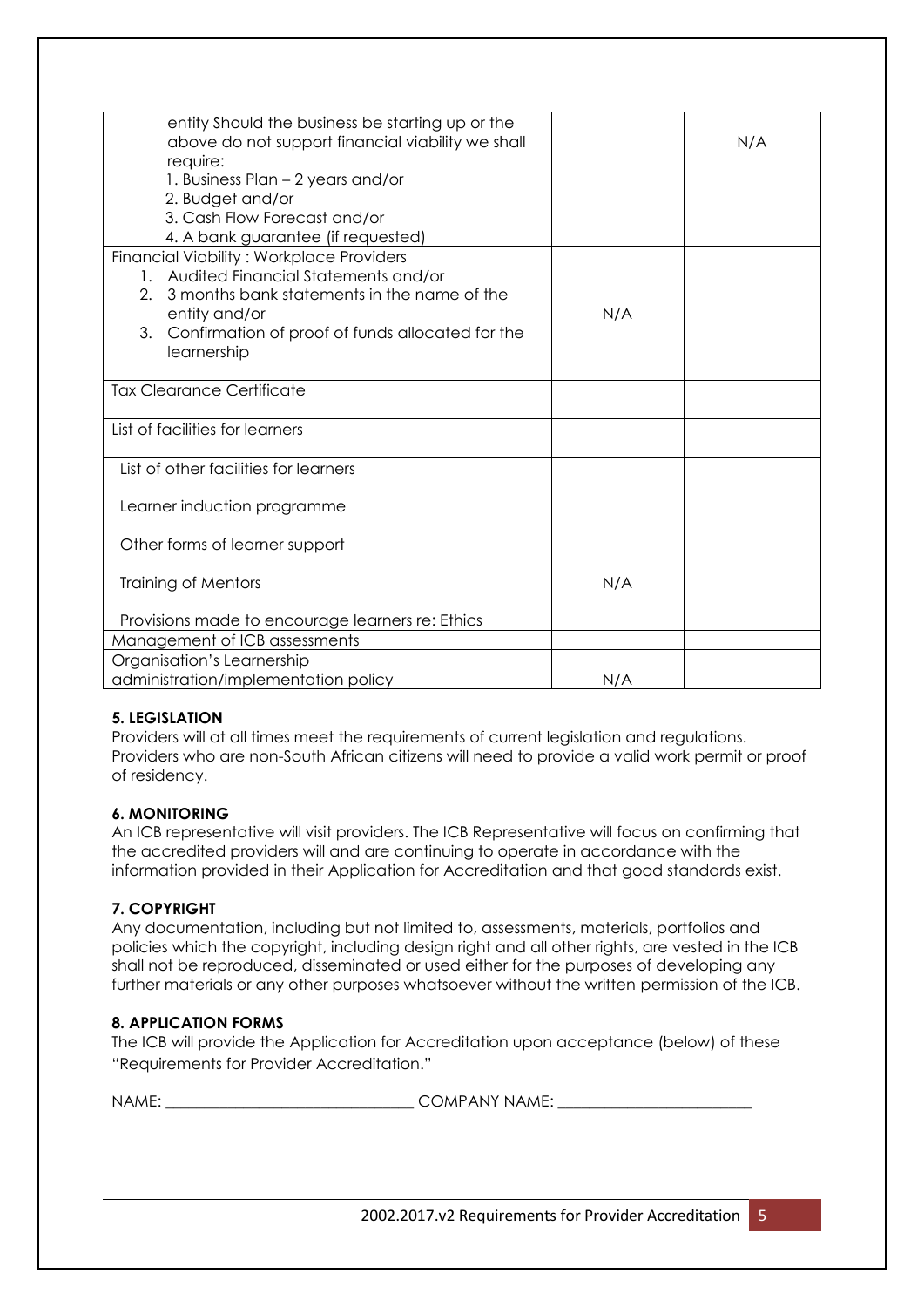| entity Should the business be starting up or the       |     |     |
|--------------------------------------------------------|-----|-----|
| above do not support financial viability we shall      |     | N/A |
| require:                                               |     |     |
| 1. Business Plan - 2 years and/or                      |     |     |
| 2. Budget and/or                                       |     |     |
| 3. Cash Flow Forecast and/or                           |     |     |
| 4. A bank guarantee (if requested)                     |     |     |
| <b>Financial Viability: Workplace Providers</b>        |     |     |
| 1. Audited Financial Statements and/or                 |     |     |
| 3 months bank statements in the name of the<br>2.      |     |     |
| entity and/or                                          | N/A |     |
| 3.<br>Confirmation of proof of funds allocated for the |     |     |
| learnership                                            |     |     |
|                                                        |     |     |
| <b>Tax Clearance Certificate</b>                       |     |     |
|                                                        |     |     |
| List of facilities for learners                        |     |     |
|                                                        |     |     |
| List of other facilities for learners                  |     |     |
|                                                        |     |     |
| Learner induction programme                            |     |     |
|                                                        |     |     |
| Other forms of learner support                         |     |     |
|                                                        |     |     |
| <b>Training of Mentors</b>                             | N/A |     |
|                                                        |     |     |
| Provisions made to encourage learners re: Ethics       |     |     |
| Management of ICB assessments                          |     |     |
| Organisation's Learnership                             |     |     |
| administration/implementation policy                   | N/A |     |

#### **5. LEGISLATION**

Providers will at all times meet the requirements of current legislation and regulations. Providers who are non-South African citizens will need to provide a valid work permit or proof of residency.

#### **6. MONITORING**

An ICB representative will visit providers. The ICB Representative will focus on confirming that the accredited providers will and are continuing to operate in accordance with the information provided in their Application for Accreditation and that good standards exist.

## **7. COPYRIGHT**

Any documentation, including but not limited to, assessments, materials, portfolios and policies which the copyright, including design right and all other rights, are vested in the ICB shall not be reproduced, disseminated or used either for the purposes of developing any further materials or any other purposes whatsoever without the written permission of the ICB.

#### **8. APPLICATION FORMS**

The ICB will provide the Application for Accreditation upon acceptance (below) of these "Requirements for Provider Accreditation."

NAME: \_\_\_\_\_\_\_\_\_\_\_\_\_\_\_\_\_\_\_\_\_\_\_\_\_\_\_\_\_\_\_\_ COMPANY NAME: \_\_\_\_\_\_\_\_\_\_\_\_\_\_\_\_\_\_\_\_\_\_\_\_\_